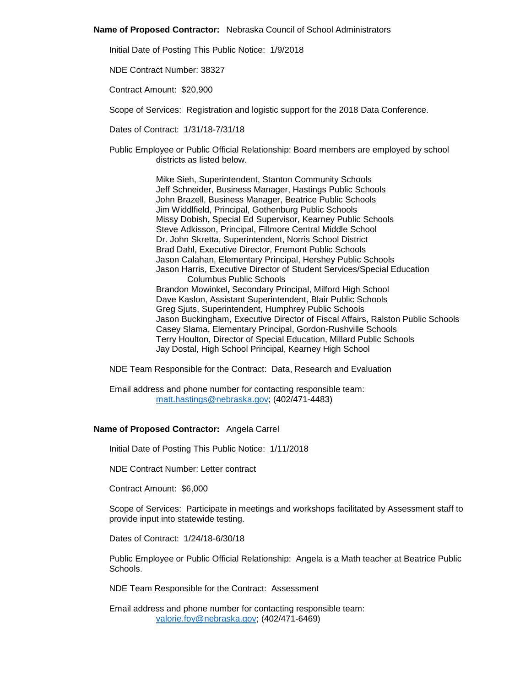#### **Name of Proposed Contractor:** Nebraska Council of School Administrators

Initial Date of Posting This Public Notice: 1/9/2018

NDE Contract Number: 38327

Contract Amount: \$20,900

Scope of Services: Registration and logistic support for the 2018 Data Conference.

Dates of Contract: 1/31/18-7/31/18

Public Employee or Public Official Relationship: Board members are employed by school districts as listed below.

> Mike Sieh, Superintendent, Stanton Community Schools Jeff Schneider, Business Manager, Hastings Public Schools John Brazell, Business Manager, Beatrice Public Schools Jim Widdlfield, Principal, Gothenburg Public Schools Missy Dobish, Special Ed Supervisor, Kearney Public Schools Steve Adkisson, Principal, Fillmore Central Middle School Dr. John Skretta, Superintendent, Norris School District Brad Dahl, Executive Director, Fremont Public Schools Jason Calahan, Elementary Principal, Hershey Public Schools Jason Harris, Executive Director of Student Services/Special Education Columbus Public Schools Brandon Mowinkel, Secondary Principal, Milford High School Dave Kaslon, Assistant Superintendent, Blair Public Schools Greg Sjuts, Superintendent, Humphrey Public Schools Jason Buckingham, Executive Director of Fiscal Affairs, Ralston Public Schools Casey Slama, Elementary Principal, Gordon-Rushville Schools Terry Houlton, Director of Special Education, Millard Public Schools Jay Dostal, High School Principal, Kearney High School

NDE Team Responsible for the Contract: Data, Research and Evaluation

Email address and phone number for contacting responsible team: [matt.hastings@nebraska.gov;](mailto:matt.hastings@nebraska.gov) (402/471-4483)

# **Name of Proposed Contractor:** Angela Carrel

Initial Date of Posting This Public Notice: 1/11/2018

NDE Contract Number: Letter contract

Contract Amount: \$6,000

Scope of Services: Participate in meetings and workshops facilitated by Assessment staff to provide input into statewide testing.

Dates of Contract: 1/24/18-6/30/18

Public Employee or Public Official Relationship: Angela is a Math teacher at Beatrice Public Schools.

NDE Team Responsible for the Contract: Assessment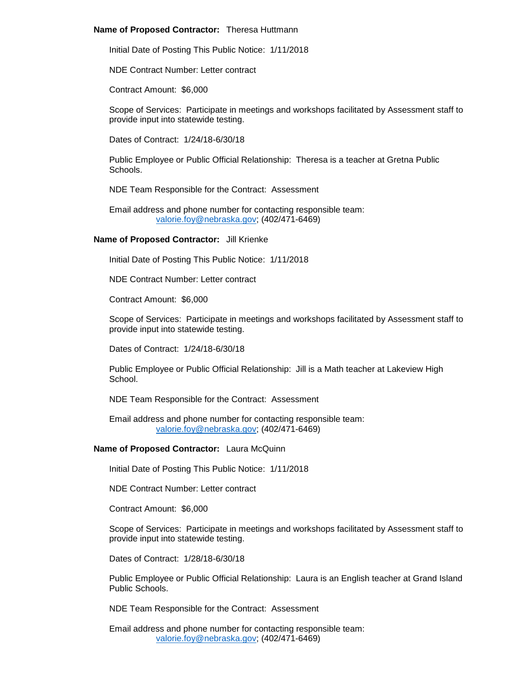# **Name of Proposed Contractor:** Theresa Huttmann

Initial Date of Posting This Public Notice: 1/11/2018

NDE Contract Number: Letter contract

Contract Amount: \$6,000

Scope of Services: Participate in meetings and workshops facilitated by Assessment staff to provide input into statewide testing.

Dates of Contract: 1/24/18-6/30/18

Public Employee or Public Official Relationship: Theresa is a teacher at Gretna Public Schools.

NDE Team Responsible for the Contract: Assessment

Email address and phone number for contacting responsible team: [valorie.foy@nebraska.gov;](mailto:valorie.foy@nebraska.gov) (402/471-6469)

#### **Name of Proposed Contractor:** Jill Krienke

Initial Date of Posting This Public Notice: 1/11/2018

NDE Contract Number: Letter contract

Contract Amount: \$6,000

Scope of Services: Participate in meetings and workshops facilitated by Assessment staff to provide input into statewide testing.

Dates of Contract: 1/24/18-6/30/18

Public Employee or Public Official Relationship: Jill is a Math teacher at Lakeview High **School**.

NDE Team Responsible for the Contract: Assessment

Email address and phone number for contacting responsible team: [valorie.foy@nebraska.gov;](mailto:valorie.foy@nebraska.gov) (402/471-6469)

# **Name of Proposed Contractor:** Laura McQuinn

Initial Date of Posting This Public Notice: 1/11/2018

NDE Contract Number: Letter contract

Contract Amount: \$6,000

Scope of Services: Participate in meetings and workshops facilitated by Assessment staff to provide input into statewide testing.

Dates of Contract: 1/28/18-6/30/18

Public Employee or Public Official Relationship: Laura is an English teacher at Grand Island Public Schools.

NDE Team Responsible for the Contract: Assessment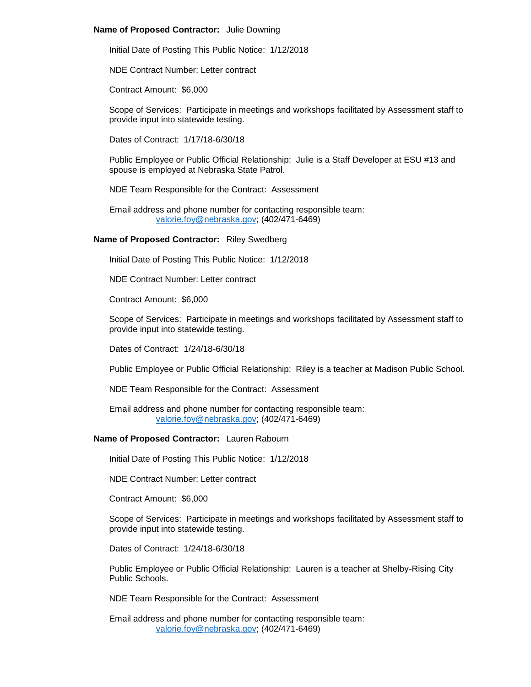# **Name of Proposed Contractor:** Julie Downing

Initial Date of Posting This Public Notice: 1/12/2018

NDE Contract Number: Letter contract

Contract Amount: \$6,000

Scope of Services: Participate in meetings and workshops facilitated by Assessment staff to provide input into statewide testing.

Dates of Contract: 1/17/18-6/30/18

Public Employee or Public Official Relationship: Julie is a Staff Developer at ESU #13 and spouse is employed at Nebraska State Patrol.

NDE Team Responsible for the Contract: Assessment

Email address and phone number for contacting responsible team: [valorie.foy@nebraska.gov;](mailto:valorie.foy@nebraska.gov) (402/471-6469)

# **Name of Proposed Contractor:** Riley Swedberg

Initial Date of Posting This Public Notice: 1/12/2018

NDE Contract Number: Letter contract

Contract Amount: \$6,000

Scope of Services: Participate in meetings and workshops facilitated by Assessment staff to provide input into statewide testing.

Dates of Contract: 1/24/18-6/30/18

Public Employee or Public Official Relationship: Riley is a teacher at Madison Public School.

NDE Team Responsible for the Contract: Assessment

Email address and phone number for contacting responsible team: [valorie.foy@nebraska.gov;](mailto:valorie.foy@nebraska.gov) (402/471-6469)

# **Name of Proposed Contractor:** Lauren Rabourn

Initial Date of Posting This Public Notice: 1/12/2018

NDE Contract Number: Letter contract

Contract Amount: \$6,000

Scope of Services: Participate in meetings and workshops facilitated by Assessment staff to provide input into statewide testing.

Dates of Contract: 1/24/18-6/30/18

Public Employee or Public Official Relationship: Lauren is a teacher at Shelby-Rising City Public Schools.

NDE Team Responsible for the Contract: Assessment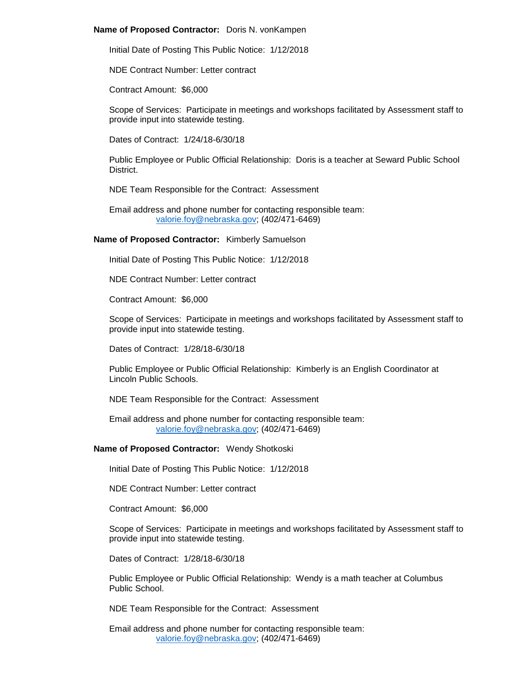#### **Name of Proposed Contractor:** Doris N. vonKampen

Initial Date of Posting This Public Notice: 1/12/2018

NDE Contract Number: Letter contract

Contract Amount: \$6,000

Scope of Services: Participate in meetings and workshops facilitated by Assessment staff to provide input into statewide testing.

Dates of Contract: 1/24/18-6/30/18

Public Employee or Public Official Relationship: Doris is a teacher at Seward Public School District.

NDE Team Responsible for the Contract: Assessment

Email address and phone number for contacting responsible team: [valorie.foy@nebraska.gov;](mailto:valorie.foy@nebraska.gov) (402/471-6469)

**Name of Proposed Contractor:** Kimberly Samuelson

Initial Date of Posting This Public Notice: 1/12/2018

NDE Contract Number: Letter contract

Contract Amount: \$6,000

Scope of Services: Participate in meetings and workshops facilitated by Assessment staff to provide input into statewide testing.

Dates of Contract: 1/28/18-6/30/18

Public Employee or Public Official Relationship: Kimberly is an English Coordinator at Lincoln Public Schools.

NDE Team Responsible for the Contract: Assessment

Email address and phone number for contacting responsible team: [valorie.foy@nebraska.gov;](mailto:valorie.foy@nebraska.gov) (402/471-6469)

# **Name of Proposed Contractor:** Wendy Shotkoski

Initial Date of Posting This Public Notice: 1/12/2018

NDE Contract Number: Letter contract

Contract Amount: \$6,000

Scope of Services: Participate in meetings and workshops facilitated by Assessment staff to provide input into statewide testing.

Dates of Contract: 1/28/18-6/30/18

Public Employee or Public Official Relationship: Wendy is a math teacher at Columbus Public School.

NDE Team Responsible for the Contract: Assessment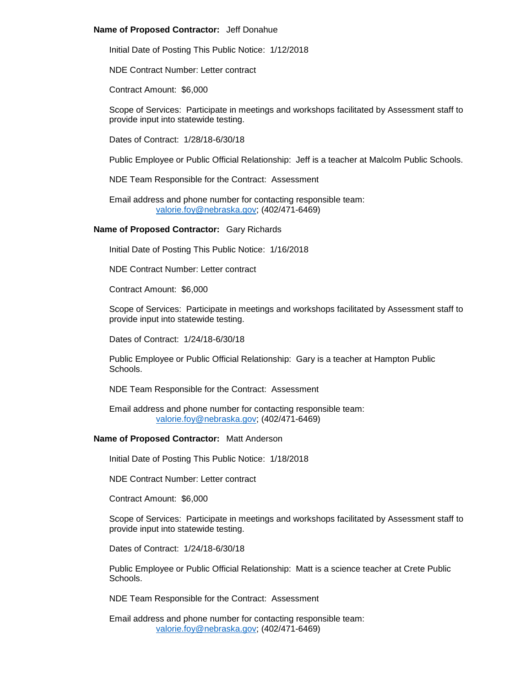# **Name of Proposed Contractor:** Jeff Donahue

Initial Date of Posting This Public Notice: 1/12/2018

NDE Contract Number: Letter contract

Contract Amount: \$6,000

Scope of Services: Participate in meetings and workshops facilitated by Assessment staff to provide input into statewide testing.

Dates of Contract: 1/28/18-6/30/18

Public Employee or Public Official Relationship: Jeff is a teacher at Malcolm Public Schools.

NDE Team Responsible for the Contract: Assessment

Email address and phone number for contacting responsible team: [valorie.foy@nebraska.gov;](mailto:valorie.foy@nebraska.gov) (402/471-6469)

# **Name of Proposed Contractor:** Gary Richards

Initial Date of Posting This Public Notice: 1/16/2018

NDE Contract Number: Letter contract

Contract Amount: \$6,000

Scope of Services: Participate in meetings and workshops facilitated by Assessment staff to provide input into statewide testing.

Dates of Contract: 1/24/18-6/30/18

Public Employee or Public Official Relationship: Gary is a teacher at Hampton Public Schools.

NDE Team Responsible for the Contract: Assessment

Email address and phone number for contacting responsible team: [valorie.foy@nebraska.gov;](mailto:valorie.foy@nebraska.gov) (402/471-6469)

# **Name of Proposed Contractor:** Matt Anderson

Initial Date of Posting This Public Notice: 1/18/2018

NDE Contract Number: Letter contract

Contract Amount: \$6,000

Scope of Services: Participate in meetings and workshops facilitated by Assessment staff to provide input into statewide testing.

Dates of Contract: 1/24/18-6/30/18

Public Employee or Public Official Relationship: Matt is a science teacher at Crete Public Schools.

NDE Team Responsible for the Contract: Assessment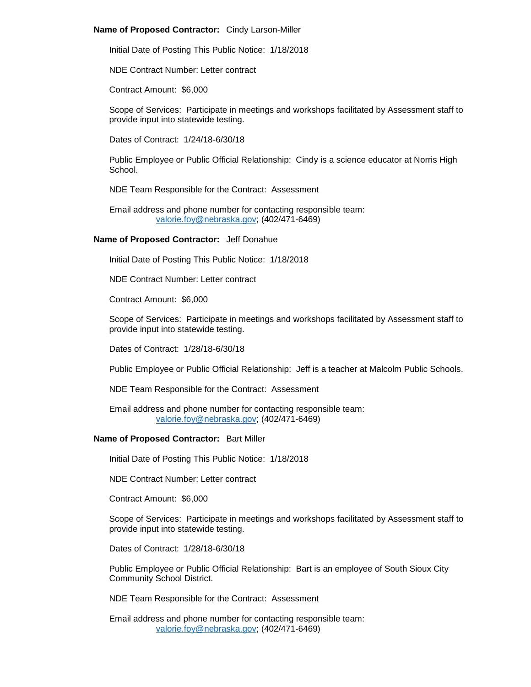# **Name of Proposed Contractor:** Cindy Larson-Miller

Initial Date of Posting This Public Notice: 1/18/2018

NDE Contract Number: Letter contract

Contract Amount: \$6,000

Scope of Services: Participate in meetings and workshops facilitated by Assessment staff to provide input into statewide testing.

Dates of Contract: 1/24/18-6/30/18

Public Employee or Public Official Relationship: Cindy is a science educator at Norris High School.

NDE Team Responsible for the Contract: Assessment

Email address and phone number for contacting responsible team: [valorie.foy@nebraska.gov;](mailto:valorie.foy@nebraska.gov) (402/471-6469)

# **Name of Proposed Contractor:** Jeff Donahue

Initial Date of Posting This Public Notice: 1/18/2018

NDE Contract Number: Letter contract

Contract Amount: \$6,000

Scope of Services: Participate in meetings and workshops facilitated by Assessment staff to provide input into statewide testing.

Dates of Contract: 1/28/18-6/30/18

Public Employee or Public Official Relationship: Jeff is a teacher at Malcolm Public Schools.

NDE Team Responsible for the Contract: Assessment

Email address and phone number for contacting responsible team: [valorie.foy@nebraska.gov;](mailto:valorie.foy@nebraska.gov) (402/471-6469)

# **Name of Proposed Contractor:** Bart Miller

Initial Date of Posting This Public Notice: 1/18/2018

NDE Contract Number: Letter contract

Contract Amount: \$6,000

Scope of Services: Participate in meetings and workshops facilitated by Assessment staff to provide input into statewide testing.

Dates of Contract: 1/28/18-6/30/18

Public Employee or Public Official Relationship: Bart is an employee of South Sioux City Community School District.

NDE Team Responsible for the Contract: Assessment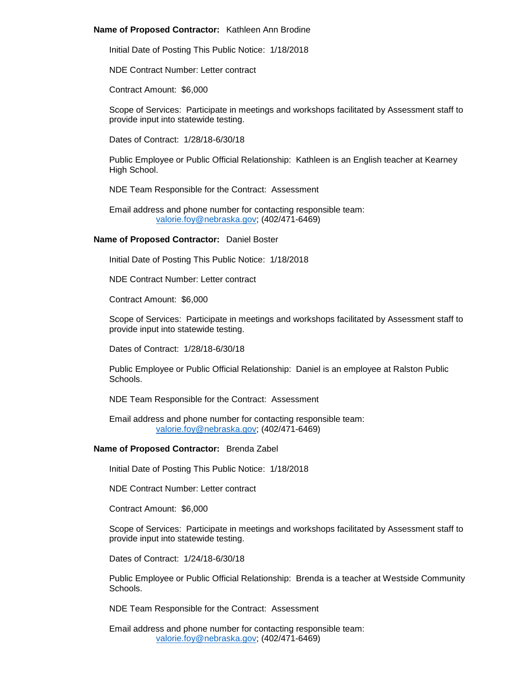#### **Name of Proposed Contractor:** Kathleen Ann Brodine

Initial Date of Posting This Public Notice: 1/18/2018

NDE Contract Number: Letter contract

Contract Amount: \$6,000

Scope of Services: Participate in meetings and workshops facilitated by Assessment staff to provide input into statewide testing.

Dates of Contract: 1/28/18-6/30/18

Public Employee or Public Official Relationship: Kathleen is an English teacher at Kearney High School.

NDE Team Responsible for the Contract: Assessment

Email address and phone number for contacting responsible team: [valorie.foy@nebraska.gov;](mailto:valorie.foy@nebraska.gov) (402/471-6469)

#### **Name of Proposed Contractor:** Daniel Boster

Initial Date of Posting This Public Notice: 1/18/2018

NDE Contract Number: Letter contract

Contract Amount: \$6,000

Scope of Services: Participate in meetings and workshops facilitated by Assessment staff to provide input into statewide testing.

Dates of Contract: 1/28/18-6/30/18

Public Employee or Public Official Relationship: Daniel is an employee at Ralston Public **Schools** 

NDE Team Responsible for the Contract: Assessment

Email address and phone number for contacting responsible team: [valorie.foy@nebraska.gov;](mailto:valorie.foy@nebraska.gov) (402/471-6469)

#### **Name of Proposed Contractor:** Brenda Zabel

Initial Date of Posting This Public Notice: 1/18/2018

NDE Contract Number: Letter contract

Contract Amount: \$6,000

Scope of Services: Participate in meetings and workshops facilitated by Assessment staff to provide input into statewide testing.

Dates of Contract: 1/24/18-6/30/18

Public Employee or Public Official Relationship: Brenda is a teacher at Westside Community Schools.

NDE Team Responsible for the Contract: Assessment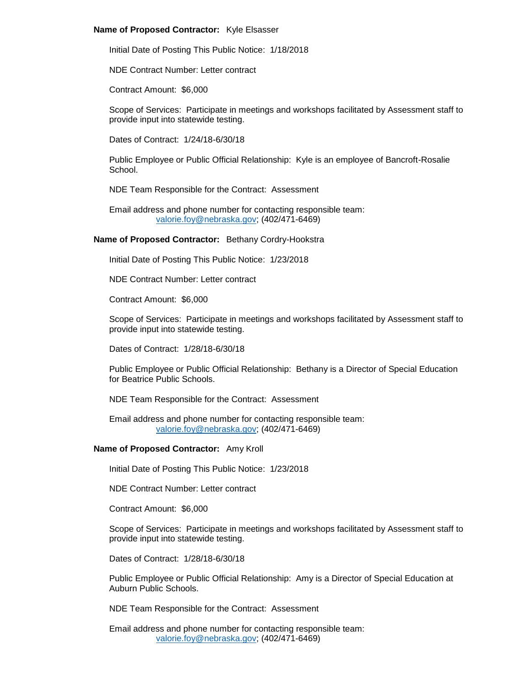# **Name of Proposed Contractor:** Kyle Elsasser

Initial Date of Posting This Public Notice: 1/18/2018

NDE Contract Number: Letter contract

Contract Amount: \$6,000

Scope of Services: Participate in meetings and workshops facilitated by Assessment staff to provide input into statewide testing.

Dates of Contract: 1/24/18-6/30/18

Public Employee or Public Official Relationship: Kyle is an employee of Bancroft-Rosalie School.

NDE Team Responsible for the Contract: Assessment

Email address and phone number for contacting responsible team: [valorie.foy@nebraska.gov;](mailto:valorie.foy@nebraska.gov) (402/471-6469)

#### **Name of Proposed Contractor:** Bethany Cordry-Hookstra

Initial Date of Posting This Public Notice: 1/23/2018

NDE Contract Number: Letter contract

Contract Amount: \$6,000

Scope of Services: Participate in meetings and workshops facilitated by Assessment staff to provide input into statewide testing.

Dates of Contract: 1/28/18-6/30/18

Public Employee or Public Official Relationship: Bethany is a Director of Special Education for Beatrice Public Schools.

NDE Team Responsible for the Contract: Assessment

Email address and phone number for contacting responsible team: [valorie.foy@nebraska.gov;](mailto:valorie.foy@nebraska.gov) (402/471-6469)

# **Name of Proposed Contractor:** Amy Kroll

Initial Date of Posting This Public Notice: 1/23/2018

NDE Contract Number: Letter contract

Contract Amount: \$6,000

Scope of Services: Participate in meetings and workshops facilitated by Assessment staff to provide input into statewide testing.

Dates of Contract: 1/28/18-6/30/18

Public Employee or Public Official Relationship: Amy is a Director of Special Education at Auburn Public Schools.

NDE Team Responsible for the Contract: Assessment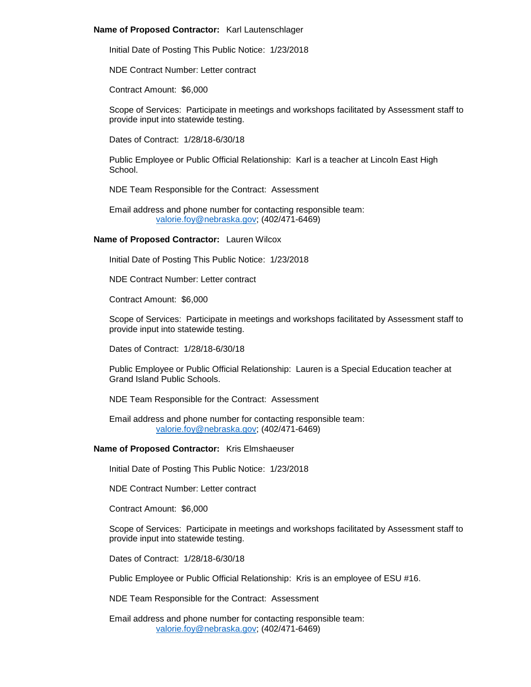# **Name of Proposed Contractor:** Karl Lautenschlager

Initial Date of Posting This Public Notice: 1/23/2018

NDE Contract Number: Letter contract

Contract Amount: \$6,000

Scope of Services: Participate in meetings and workshops facilitated by Assessment staff to provide input into statewide testing.

Dates of Contract: 1/28/18-6/30/18

Public Employee or Public Official Relationship: Karl is a teacher at Lincoln East High School.

NDE Team Responsible for the Contract: Assessment

Email address and phone number for contacting responsible team: [valorie.foy@nebraska.gov;](mailto:valorie.foy@nebraska.gov) (402/471-6469)

# **Name of Proposed Contractor:** Lauren Wilcox

Initial Date of Posting This Public Notice: 1/23/2018

NDE Contract Number: Letter contract

Contract Amount: \$6,000

Scope of Services: Participate in meetings and workshops facilitated by Assessment staff to provide input into statewide testing.

Dates of Contract: 1/28/18-6/30/18

Public Employee or Public Official Relationship: Lauren is a Special Education teacher at Grand Island Public Schools.

NDE Team Responsible for the Contract: Assessment

Email address and phone number for contacting responsible team: [valorie.foy@nebraska.gov;](mailto:valorie.foy@nebraska.gov) (402/471-6469)

# **Name of Proposed Contractor:** Kris Elmshaeuser

Initial Date of Posting This Public Notice: 1/23/2018

NDE Contract Number: Letter contract

Contract Amount: \$6,000

Scope of Services: Participate in meetings and workshops facilitated by Assessment staff to provide input into statewide testing.

Dates of Contract: 1/28/18-6/30/18

Public Employee or Public Official Relationship: Kris is an employee of ESU #16.

NDE Team Responsible for the Contract: Assessment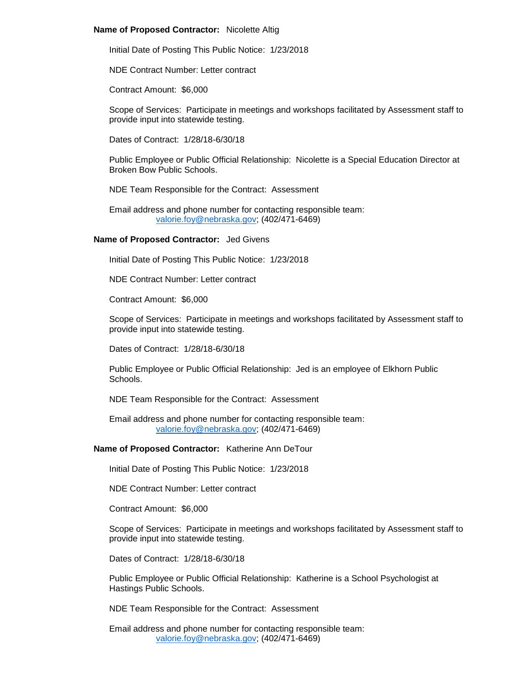#### **Name of Proposed Contractor:** Nicolette Altig

Initial Date of Posting This Public Notice: 1/23/2018

NDE Contract Number: Letter contract

Contract Amount: \$6,000

Scope of Services: Participate in meetings and workshops facilitated by Assessment staff to provide input into statewide testing.

Dates of Contract: 1/28/18-6/30/18

Public Employee or Public Official Relationship: Nicolette is a Special Education Director at Broken Bow Public Schools.

NDE Team Responsible for the Contract: Assessment

Email address and phone number for contacting responsible team: [valorie.foy@nebraska.gov;](mailto:valorie.foy@nebraska.gov) (402/471-6469)

#### **Name of Proposed Contractor:** Jed Givens

Initial Date of Posting This Public Notice: 1/23/2018

NDE Contract Number: Letter contract

Contract Amount: \$6,000

Scope of Services: Participate in meetings and workshops facilitated by Assessment staff to provide input into statewide testing.

Dates of Contract: 1/28/18-6/30/18

Public Employee or Public Official Relationship: Jed is an employee of Elkhorn Public **Schools** 

NDE Team Responsible for the Contract: Assessment

Email address and phone number for contacting responsible team: [valorie.foy@nebraska.gov;](mailto:valorie.foy@nebraska.gov) (402/471-6469)

**Name of Proposed Contractor:** Katherine Ann DeTour

Initial Date of Posting This Public Notice: 1/23/2018

NDE Contract Number: Letter contract

Contract Amount: \$6,000

Scope of Services: Participate in meetings and workshops facilitated by Assessment staff to provide input into statewide testing.

Dates of Contract: 1/28/18-6/30/18

Public Employee or Public Official Relationship: Katherine is a School Psychologist at Hastings Public Schools.

NDE Team Responsible for the Contract: Assessment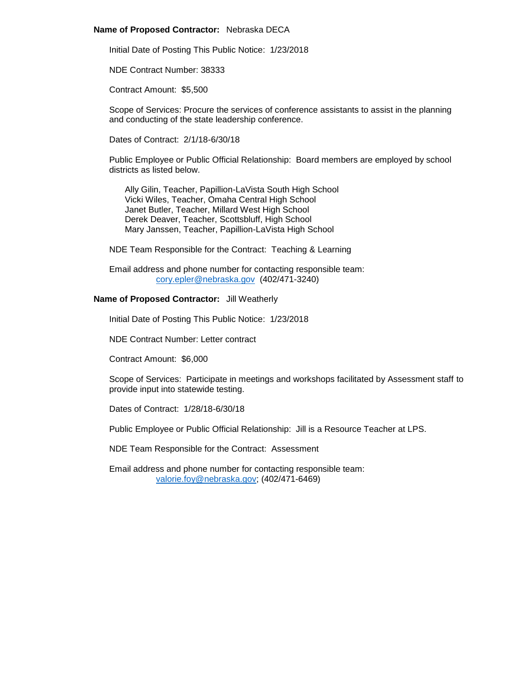#### **Name of Proposed Contractor:** Nebraska DECA

Initial Date of Posting This Public Notice: 1/23/2018

NDE Contract Number: 38333

Contract Amount: \$5,500

Scope of Services: Procure the services of conference assistants to assist in the planning and conducting of the state leadership conference.

Dates of Contract: 2/1/18-6/30/18

Public Employee or Public Official Relationship: Board members are employed by school districts as listed below.

Ally Gilin, Teacher, Papillion-LaVista South High School Vicki Wiles, Teacher, Omaha Central High School Janet Butler, Teacher, Millard West High School Derek Deaver, Teacher, Scottsbluff, High School Mary Janssen, Teacher, Papillion-LaVista High School

NDE Team Responsible for the Contract: Teaching & Learning

Email address and phone number for contacting responsible team: [cory.epler@nebraska.gov](mailto:cory.epler@nebraska.gov) (402/471-3240)

# **Name of Proposed Contractor:** Jill Weatherly

Initial Date of Posting This Public Notice: 1/23/2018

NDE Contract Number: Letter contract

Contract Amount: \$6,000

Scope of Services: Participate in meetings and workshops facilitated by Assessment staff to provide input into statewide testing.

Dates of Contract: 1/28/18-6/30/18

Public Employee or Public Official Relationship: Jill is a Resource Teacher at LPS.

NDE Team Responsible for the Contract: Assessment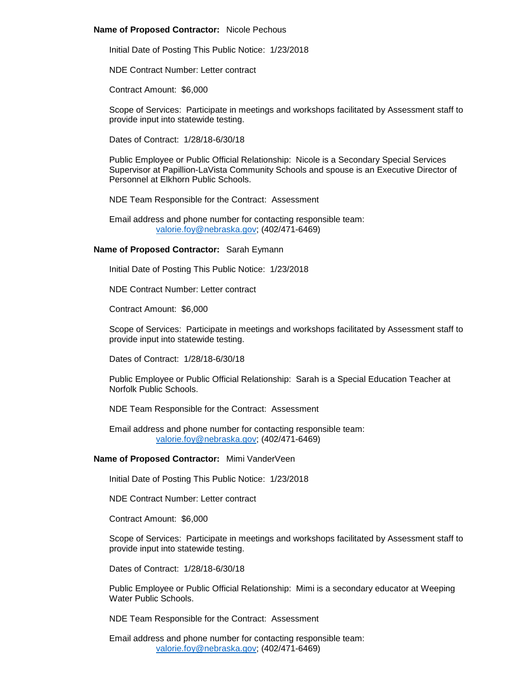# **Name of Proposed Contractor:** Nicole Pechous

Initial Date of Posting This Public Notice: 1/23/2018

NDE Contract Number: Letter contract

Contract Amount: \$6,000

Scope of Services: Participate in meetings and workshops facilitated by Assessment staff to provide input into statewide testing.

Dates of Contract: 1/28/18-6/30/18

Public Employee or Public Official Relationship: Nicole is a Secondary Special Services Supervisor at Papillion-LaVista Community Schools and spouse is an Executive Director of Personnel at Elkhorn Public Schools.

NDE Team Responsible for the Contract: Assessment

Email address and phone number for contacting responsible team: [valorie.foy@nebraska.gov;](mailto:valorie.foy@nebraska.gov) (402/471-6469)

# **Name of Proposed Contractor:** Sarah Eymann

Initial Date of Posting This Public Notice: 1/23/2018

NDE Contract Number: Letter contract

Contract Amount: \$6,000

Scope of Services: Participate in meetings and workshops facilitated by Assessment staff to provide input into statewide testing.

Dates of Contract: 1/28/18-6/30/18

Public Employee or Public Official Relationship: Sarah is a Special Education Teacher at Norfolk Public Schools.

NDE Team Responsible for the Contract: Assessment

Email address and phone number for contacting responsible team: [valorie.foy@nebraska.gov;](mailto:valorie.foy@nebraska.gov) (402/471-6469)

# **Name of Proposed Contractor:** Mimi VanderVeen

Initial Date of Posting This Public Notice: 1/23/2018

NDE Contract Number: Letter contract

Contract Amount: \$6,000

Scope of Services: Participate in meetings and workshops facilitated by Assessment staff to provide input into statewide testing.

Dates of Contract: 1/28/18-6/30/18

Public Employee or Public Official Relationship: Mimi is a secondary educator at Weeping Water Public Schools.

NDE Team Responsible for the Contract: Assessment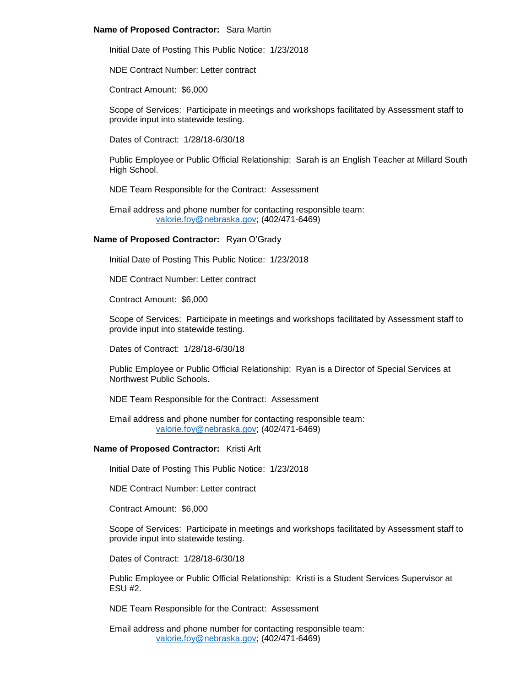# **Name of Proposed Contractor:** Sara Martin

Initial Date of Posting This Public Notice: 1/23/2018

NDE Contract Number: Letter contract

Contract Amount: \$6,000

Scope of Services: Participate in meetings and workshops facilitated by Assessment staff to provide input into statewide testing.

Dates of Contract: 1/28/18-6/30/18

Public Employee or Public Official Relationship: Sarah is an English Teacher at Millard South High School.

NDE Team Responsible for the Contract: Assessment

Email address and phone number for contacting responsible team: [valorie.foy@nebraska.gov;](mailto:valorie.foy@nebraska.gov) (402/471-6469)

# **Name of Proposed Contractor:** Ryan O'Grady

Initial Date of Posting This Public Notice: 1/23/2018

NDE Contract Number: Letter contract

Contract Amount: \$6,000

Scope of Services: Participate in meetings and workshops facilitated by Assessment staff to provide input into statewide testing.

Dates of Contract: 1/28/18-6/30/18

Public Employee or Public Official Relationship: Ryan is a Director of Special Services at Northwest Public Schools.

NDE Team Responsible for the Contract: Assessment

Email address and phone number for contacting responsible team: [valorie.foy@nebraska.gov;](mailto:valorie.foy@nebraska.gov) (402/471-6469)

#### **Name of Proposed Contractor:** Kristi Arlt

Initial Date of Posting This Public Notice: 1/23/2018

NDE Contract Number: Letter contract

Contract Amount: \$6,000

Scope of Services: Participate in meetings and workshops facilitated by Assessment staff to provide input into statewide testing.

Dates of Contract: 1/28/18-6/30/18

Public Employee or Public Official Relationship: Kristi is a Student Services Supervisor at ESU #2.

NDE Team Responsible for the Contract: Assessment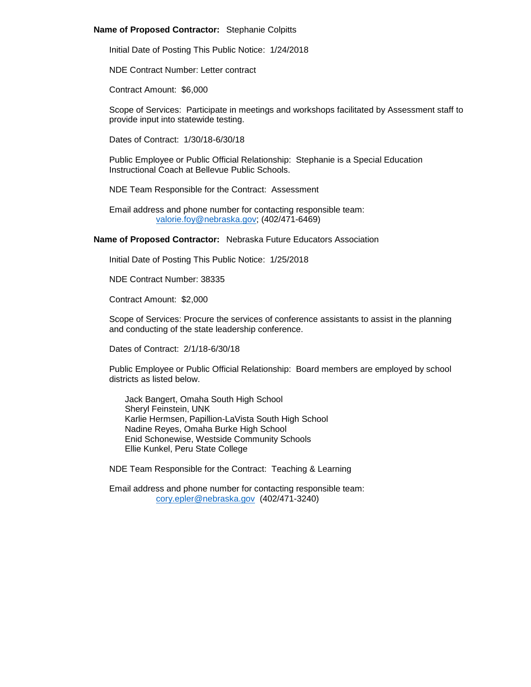# **Name of Proposed Contractor:** Stephanie Colpitts

Initial Date of Posting This Public Notice: 1/24/2018

NDE Contract Number: Letter contract

Contract Amount: \$6,000

Scope of Services: Participate in meetings and workshops facilitated by Assessment staff to provide input into statewide testing.

Dates of Contract: 1/30/18-6/30/18

Public Employee or Public Official Relationship: Stephanie is a Special Education Instructional Coach at Bellevue Public Schools.

NDE Team Responsible for the Contract: Assessment

Email address and phone number for contacting responsible team: [valorie.foy@nebraska.gov;](mailto:valorie.foy@nebraska.gov) (402/471-6469)

# **Name of Proposed Contractor:** Nebraska Future Educators Association

Initial Date of Posting This Public Notice: 1/25/2018

NDE Contract Number: 38335

Contract Amount: \$2,000

Scope of Services: Procure the services of conference assistants to assist in the planning and conducting of the state leadership conference.

Dates of Contract: 2/1/18-6/30/18

Public Employee or Public Official Relationship: Board members are employed by school districts as listed below.

Jack Bangert, Omaha South High School Sheryl Feinstein, UNK Karlie Hermsen, Papillion-LaVista South High School Nadine Reyes, Omaha Burke High School Enid Schonewise, Westside Community Schools Ellie Kunkel, Peru State College

NDE Team Responsible for the Contract: Teaching & Learning

Email address and phone number for contacting responsible team: [cory.epler@nebraska.gov](mailto:cory.epler@nebraska.gov) (402/471-3240)